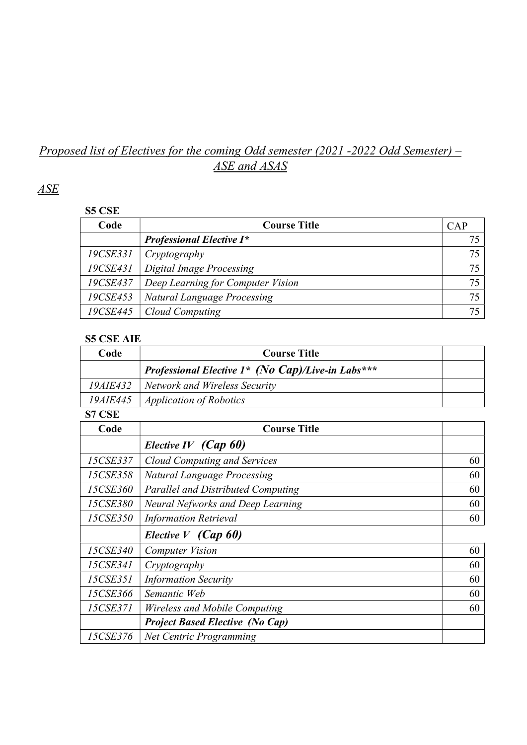# Proposed list of Electives for the coming Odd semester (2021 -2022 Odd Semester) -ASE and ASAS

# ASE

#### S5 CSE

| Code     | <b>Course Title</b>                | CAP |
|----------|------------------------------------|-----|
|          | <b>Professional Elective I*</b>    |     |
| 19CSE331 | Cryptography                       |     |
| 19CSE431 | Digital Image Processing           | 75  |
| 19CSE437 | Deep Learning for Computer Vision  | 75  |
| 19CSE453 | <b>Natural Language Processing</b> | 75  |
| 19CSE445 | Cloud Computing                    |     |

### S5 CSE AIE

| Code            | <b>Course Title</b>                               |    |
|-----------------|---------------------------------------------------|----|
|                 | Professional Elective 1* (No Cap)/Live-in Labs*** |    |
| <i>19AIE432</i> | <b>Network and Wireless Security</b>              |    |
| 19AIE445        | <b>Application of Robotics</b>                    |    |
| <b>S7 CSE</b>   |                                                   |    |
| Code            | <b>Course Title</b>                               |    |
|                 | Elective IV $(Cap 60)$                            |    |
| 15CSE337        | <b>Cloud Computing and Services</b>               | 60 |
| 15CSE358        | <b>Natural Language Processing</b>                | 60 |
| 15CSE360        | <b>Parallel and Distributed Computing</b>         | 60 |
| 15CSE380        | Neural Nefworks and Deep Learning                 | 60 |
| 15CSE350        | <b>Information Retrieval</b>                      | 60 |
|                 | Elective $V$ (Cap 60)                             |    |
| 15CSE340        | <b>Computer Vision</b>                            | 60 |
| 15CSE341        | Cryptography                                      | 60 |
| 15CSE351        | <b>Information Security</b>                       | 60 |
| 15CSE366        | Semantic Web                                      | 60 |
| 15CSE371        | Wireless and Mobile Computing                     | 60 |
|                 | <b>Project Based Elective (No Cap)</b>            |    |
| 15CSE376        | <b>Net Centric Programming</b>                    |    |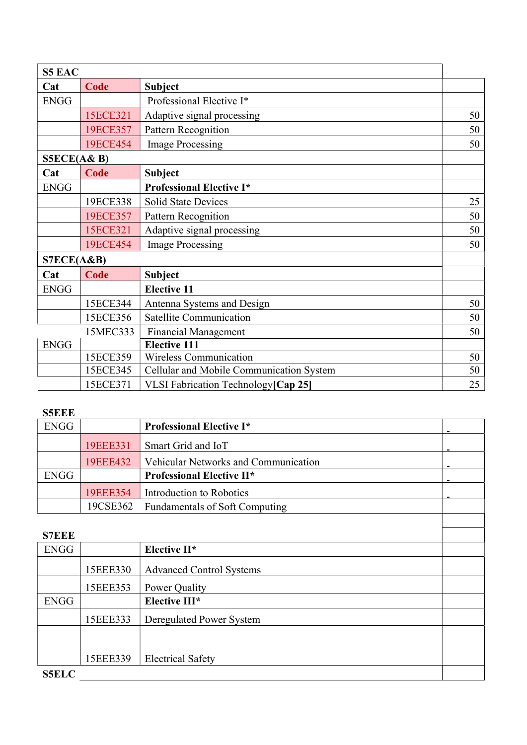| <b>S5 EAC</b> |             |                                          |    |
|---------------|-------------|------------------------------------------|----|
| Cat           | Code        | <b>Subject</b>                           |    |
| <b>ENGG</b>   |             | Professional Elective I*                 |    |
|               | 15ECE321    | Adaptive signal processing               | 50 |
|               | 19ECE357    | <b>Pattern Recognition</b>               | 50 |
|               | 19ECE454    | <b>Image Processing</b>                  | 50 |
| S5ECE(A&B)    |             |                                          |    |
| Cat           | Code        | <b>Subject</b>                           |    |
| <b>ENGG</b>   |             | <b>Professional Elective I*</b>          |    |
|               | 19ECE338    | <b>Solid State Devices</b>               | 25 |
|               | 19ECE357    | Pattern Recognition                      | 50 |
|               | 15ECE321    | Adaptive signal processing               | 50 |
|               | 19ECE454    | <b>Image Processing</b>                  | 50 |
| STECE(A&B)    |             |                                          |    |
| Cat           | <b>Code</b> | <b>Subject</b>                           |    |
| <b>ENGG</b>   |             | <b>Elective 11</b>                       |    |
|               | 15ECE344    | Antenna Systems and Design               | 50 |
|               | 15ECE356    | <b>Satellite Communication</b>           | 50 |
|               | 15MEC333    | <b>Financial Management</b>              | 50 |
| <b>ENGG</b>   |             | <b>Elective 111</b>                      |    |
|               | 15ECE359    | <b>Wireless Communication</b>            | 50 |
|               | 15ECE345    | Cellular and Mobile Communication System | 50 |
|               | 15ECE371    | VLSI Fabrication Technology [Cap 25]     | 25 |

### S5EEE

| SSEEE        |          |                                       |  |
|--------------|----------|---------------------------------------|--|
| <b>ENGG</b>  |          | <b>Professional Elective I*</b>       |  |
|              | 19EEE331 | Smart Grid and IoT                    |  |
|              | 19EEE432 | Vehicular Networks and Communication  |  |
| <b>ENGG</b>  |          | <b>Professional Elective II*</b>      |  |
|              | 19EEE354 | Introduction to Robotics              |  |
|              | 19CSE362 | <b>Fundamentals of Soft Computing</b> |  |
|              |          |                                       |  |
| <b>S7EEE</b> |          |                                       |  |

| 9 LLL        |          |                                 |  |
|--------------|----------|---------------------------------|--|
| <b>ENGG</b>  |          | Elective II*                    |  |
|              | 15EEE330 | <b>Advanced Control Systems</b> |  |
|              | 15EEE353 | Power Quality                   |  |
| <b>ENGG</b>  |          | Elective III*                   |  |
|              | 15EEE333 | Deregulated Power System        |  |
|              |          |                                 |  |
|              | 15EEE339 | <b>Electrical Safety</b>        |  |
| <b>S5ELC</b> |          |                                 |  |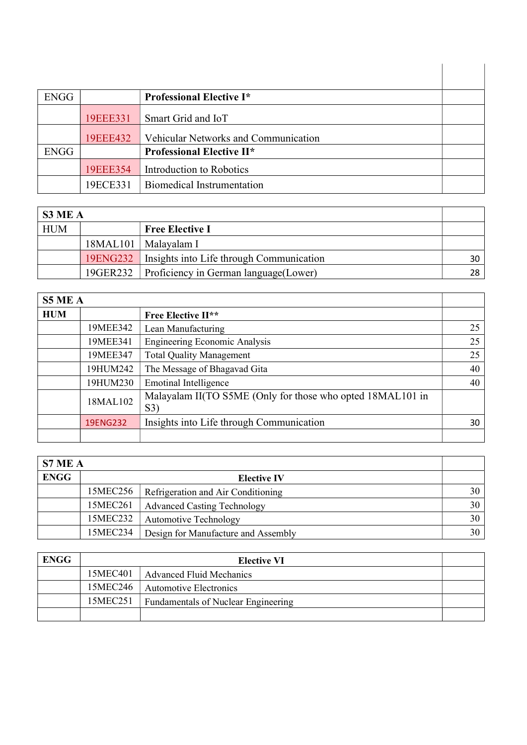| <b>ENGG</b> |          | <b>Professional Elective I*</b>      |  |
|-------------|----------|--------------------------------------|--|
|             |          |                                      |  |
|             | 19EEE331 | Smart Grid and IoT                   |  |
|             | 19EEE432 | Vehicular Networks and Communication |  |
| <b>ENGG</b> |          | <b>Professional Elective II*</b>     |  |
|             | 19EEE354 | Introduction to Robotics             |  |
|             | 19ECE331 | Biomedical Instrumentation           |  |

| S3 ME A    |                                                     |    |
|------------|-----------------------------------------------------|----|
| <b>HUM</b> | <b>Free Elective I</b>                              |    |
|            | 18MAL101   Malayalam I                              |    |
|            | 19ENG232   Insights into Life through Communication | 30 |
|            | 19GER232   Proficiency in German language(Lower)    | 28 |

| <b>S5 ME A</b> |          |                                                                   |    |
|----------------|----------|-------------------------------------------------------------------|----|
| <b>HUM</b>     |          | <b>Free Elective II**</b>                                         |    |
|                | 19MEE342 | Lean Manufacturing                                                | 25 |
|                | 19MEE341 | <b>Engineering Economic Analysis</b>                              | 25 |
|                | 19MEE347 | <b>Total Quality Management</b>                                   | 25 |
|                | 19HUM242 | The Message of Bhagavad Gita                                      | 40 |
|                | 19HUM230 | <b>Emotinal Intelligence</b>                                      | 40 |
|                | 18MAL102 | Malayalam II(TO S5ME (Only for those who opted 18MAL101 in<br>S3) |    |
|                | 19ENG232 | Insights into Life through Communication                          | 30 |
|                |          |                                                                   |    |

| S7 ME A     |          |                                     |                 |
|-------------|----------|-------------------------------------|-----------------|
| <b>ENGG</b> |          | <b>Elective IV</b>                  |                 |
|             | 15MEC256 | Refrigeration and Air Conditioning  | 30 <sup>1</sup> |
|             | 15MEC261 | <b>Advanced Casting Technology</b>  | 30 <sup>1</sup> |
|             | 15MEC232 | <b>Automotive Technology</b>        | 30              |
|             | 15MEC234 | Design for Manufacture and Assembly | 30              |

| <b>ENGG</b> |          | <b>Elective VI</b>                         |  |
|-------------|----------|--------------------------------------------|--|
|             | 15MEC401 | Advanced Fluid Mechanics                   |  |
|             | 15MEC246 | <b>Automotive Electronics</b>              |  |
|             | 15MEC251 | <b>Fundamentals of Nuclear Engineering</b> |  |
|             |          |                                            |  |